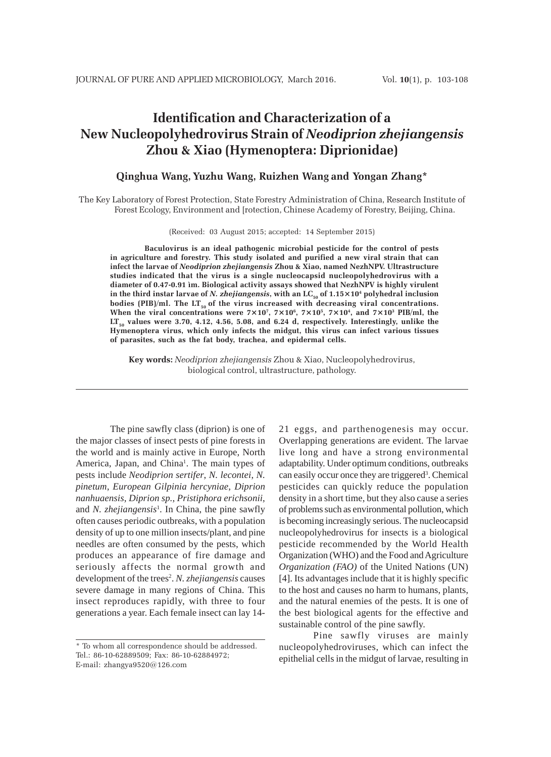# **Identification and Characterization of a New Nucleopolyhedrovirus Strain of** *Neodiprion zhejiangensis* **Zhou & Xiao (Hymenoptera: Diprionidae)**

# **Qinghua Wang, Yuzhu Wang, Ruizhen Wang and Yongan Zhang\***

The Key Laboratory of Forest Protection, State Forestry Administration of China, Research Institute of Forest Ecology, Environment and [rotection, Chinese Academy of Forestry, Beijing, China.

(Received: 03 August 2015; accepted: 14 September 2015)

**Baculovirus is an ideal pathogenic microbial pesticide for the control of pests in agriculture and forestry. This study isolated and purified a new viral strain that can infect the larvae of** *Neodiprion zhejiangensis* **Zhou & Xiao, named NezhNPV. Ultrastructure studies indicated that the virus is a single nucleocapsid nucleopolyhedrovirus with a diameter of 0.47-0.91 ìm. Biological activity assays showed that NezhNPV is highly virulent** in the third instar larvae of *N. zhejiangensis*, with an LC<sub>50</sub> of 1.15×10<sup>4</sup> polyhedral inclusion bodies (PIB)/ml. The LT<sub>50</sub> of the virus increased with decreasing viral concentrations. When the viral concentrations were  $7\times10^7$ ,  $7\times10^6$ ,  $7\times10^5$ ,  $7\times10^4$ , and  $7\times10^3$  PIB/ml, the LT<sub>50</sub> values were 3.70, 4.12, 4.56, 5.08, and 6.24 d, respectively. Interestingly, unlike the **Hymenoptera virus, which only infects the midgut, this virus can infect various tissues of parasites, such as the fat body, trachea, and epidermal cells.**

**Key words:** *Neodiprion zhejiangensis* Zhou & Xiao, Nucleopolyhedrovirus, biological control, ultrastructure, pathology.

The pine sawfly class (diprion) is one of the major classes of insect pests of pine forests in the world and is mainly active in Europe, North America, Japan, and China<sup>1</sup>. The main types of pests include *Neodiprion sertifer*, *N. lecontei*, *N. pinetum*, *European Gilpinia hercyniae*, *Diprion nanhuaensis*, *Diprion sp.*, *Pristiphora erichsonii*, and *N. zhejiangensis*<sup>1</sup> . In China, the pine sawfly often causes periodic outbreaks, with a population density of up to one million insects/plant, and pine needles are often consumed by the pests, which produces an appearance of fire damage and seriously affects the normal growth and development of the trees<sup>2</sup>. *N. zhejiangensis* causes severe damage in many regions of China. This insect reproduces rapidly, with three to four generations a year. Each female insect can lay 1421 eggs, and parthenogenesis may occur. Overlapping generations are evident. The larvae live long and have a strong environmental adaptability. Under optimum conditions, outbreaks can easily occur once they are triggered<sup>3</sup>. Chemical pesticides can quickly reduce the population density in a short time, but they also cause a series of problems such as environmental pollution, which is becoming increasingly serious. The nucleocapsid nucleopolyhedrovirus for insects is a biological pesticide recommended by the World Health Organization (WHO) and the Food and Agriculture *Organization (FAO)* of the United Nations (UN) [4]. Its advantages include that it is highly specific to the host and causes no harm to humans, plants, and the natural enemies of the pests. It is one of the best biological agents for the effective and sustainable control of the pine sawfly.

Pine sawfly viruses are mainly nucleopolyhedroviruses, which can infect the epithelial cells in the midgut of larvae, resulting in

<sup>\*</sup> To whom all correspondence should be addressed. Tel.: 86-10-62889509; Fax: 86-10-62884972; E-mail: zhangya9520@126.com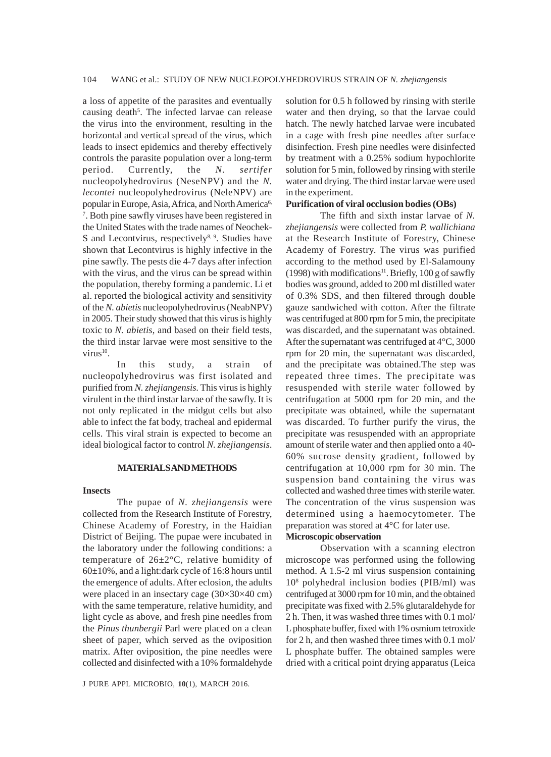a loss of appetite of the parasites and eventually causing death<sup>5</sup>. The infected larvae can release the virus into the environment, resulting in the horizontal and vertical spread of the virus, which leads to insect epidemics and thereby effectively controls the parasite population over a long-term period. Currently, the *N. sertifer* nucleopolyhedrovirus (NeseNPV) and the *N. lecontei* nucleopolyhedrovirus (NeleNPV) are popular in Europe, Asia, Africa, and North America<sup>6,</sup> 7 . Both pine sawfly viruses have been registered in the United States with the trade names of Neochek-S and Lecontvirus, respectively $8, 9$ . Studies have shown that Lecontvirus is highly infective in the pine sawfly. The pests die 4-7 days after infection with the virus, and the virus can be spread within the population, thereby forming a pandemic. Li et al. reported the biological activity and sensitivity of the *N. abietis* nucleopolyhedrovirus (NeabNPV) in 2005. Their study showed that this virus is highly toxic to *N. abietis*, and based on their field tests, the third instar larvae were most sensitive to the virus $^{10}$ .

In this study, a strain of nucleopolyhedrovirus was first isolated and purified from *N. zhejiangensis*. This virus is highly virulent in the third instar larvae of the sawfly. It is not only replicated in the midgut cells but also able to infect the fat body, tracheal and epidermal cells. This viral strain is expected to become an ideal biological factor to control *N. zhejiangensis*.

## **MATERIALS AND METHODS**

### **Insects**

The pupae of *N. zhejiangensis* were collected from the Research Institute of Forestry, Chinese Academy of Forestry, in the Haidian District of Beijing. The pupae were incubated in the laboratory under the following conditions: a temperature of 26±2°C, relative humidity of 60±10%, and a light:dark cycle of 16:8 hours until the emergence of adults. After eclosion, the adults were placed in an insectary cage (30×30×40 cm) with the same temperature, relative humidity, and light cycle as above, and fresh pine needles from the *Pinus thunbergii* Parl were placed on a clean sheet of paper, which served as the oviposition matrix. After oviposition, the pine needles were collected and disinfected with a 10% formaldehyde

J PURE APPL MICROBIO*,* **10**(1), MARCH 2016.

solution for 0.5 h followed by rinsing with sterile water and then drying, so that the larvae could hatch. The newly hatched larvae were incubated in a cage with fresh pine needles after surface disinfection. Fresh pine needles were disinfected by treatment with a 0.25% sodium hypochlorite solution for 5 min, followed by rinsing with sterile water and drying. The third instar larvae were used in the experiment.

### **Purification of viral occlusion bodies (OBs)**

The fifth and sixth instar larvae of *N. zhejiangensis* were collected from *P. wallichiana* at the Research Institute of Forestry, Chinese Academy of Forestry. The virus was purified according to the method used by El-Salamouny (1998) with modifications<sup>11</sup>. Briefly, 100 g of sawfly bodies was ground, added to 200 ml distilled water of 0.3% SDS, and then filtered through double gauze sandwiched with cotton. After the filtrate was centrifuged at 800 rpm for 5 min, the precipitate was discarded, and the supernatant was obtained. After the supernatant was centrifuged at 4°C, 3000 rpm for 20 min, the supernatant was discarded, and the precipitate was obtained.The step was repeated three times. The precipitate was resuspended with sterile water followed by centrifugation at 5000 rpm for 20 min, and the precipitate was obtained, while the supernatant was discarded. To further purify the virus, the precipitate was resuspended with an appropriate amount of sterile water and then applied onto a 40- 60% sucrose density gradient, followed by centrifugation at 10,000 rpm for 30 min. The suspension band containing the virus was collected and washed three times with sterile water. The concentration of the virus suspension was determined using a haemocytometer. The preparation was stored at 4°C for later use.

# **Microscopic observation**

Observation with a scanning electron microscope was performed using the following method. A 1.5-2 ml virus suspension containing 108 polyhedral inclusion bodies (PIB/ml) was centrifuged at 3000 rpm for 10 min, and the obtained precipitate was fixed with 2.5% glutaraldehyde for 2 h. Then, it was washed three times with 0.1 mol/ L phosphate buffer, fixed with 1% osmium tetroxide for 2 h, and then washed three times with 0.1 mol/ L phosphate buffer. The obtained samples were dried with a critical point drying apparatus (Leica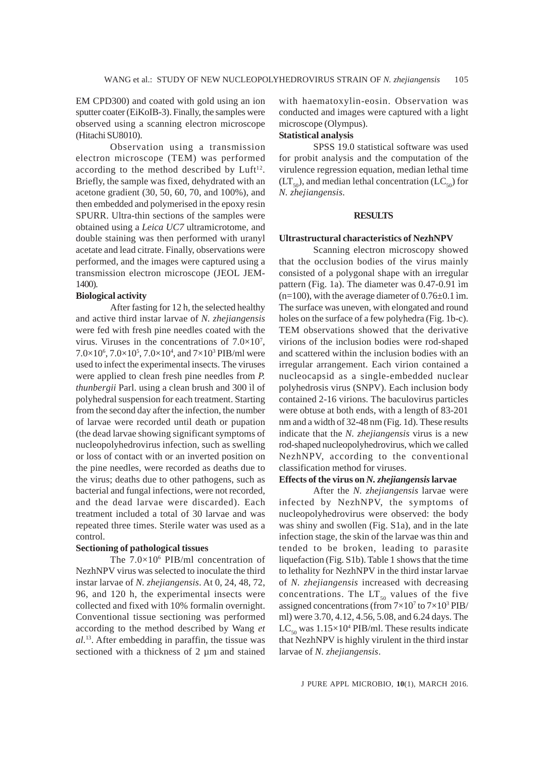EM CPD300) and coated with gold using an ion sputter coater (EiKoIB-3). Finally, the samples were observed using a scanning electron microscope (Hitachi SU8010).

Observation using a transmission electron microscope (TEM) was performed according to the method described by  $Luft^{12}$ . Briefly, the sample was fixed, dehydrated with an acetone gradient (30, 50, 60, 70, and 100%), and then embedded and polymerised in the epoxy resin SPURR. Ultra-thin sections of the samples were obtained using a *Leica UC7* ultramicrotome, and double staining was then performed with uranyl acetate and lead citrate. Finally, observations were performed, and the images were captured using a transmission electron microscope (JEOL JEM-1400).

# **Biological activity**

After fasting for 12 h, the selected healthy and active third instar larvae of *N. zhejiangensis* were fed with fresh pine needles coated with the virus. Viruses in the concentrations of  $7.0 \times 10^7$ ,  $7.0\times10^6$ ,  $7.0\times10^5$ ,  $7.0\times10^4$ , and  $7\times10^3$  PIB/ml were used to infect the experimental insects. The viruses were applied to clean fresh pine needles from *P. thunbergii* Parl. using a clean brush and 300 ìl of polyhedral suspension for each treatment. Starting from the second day after the infection, the number of larvae were recorded until death or pupation (the dead larvae showing significant symptoms of nucleopolyhedrovirus infection, such as swelling or loss of contact with or an inverted position on the pine needles, were recorded as deaths due to the virus; deaths due to other pathogens, such as bacterial and fungal infections, were not recorded, and the dead larvae were discarded). Each treatment included a total of 30 larvae and was repeated three times. Sterile water was used as a control.

# **Sectioning of pathological tissues**

The  $7.0\times10^6$  PIB/ml concentration of NezhNPV virus was selected to inoculate the third instar larvae of *N. zhejiangensis*. At 0, 24, 48, 72, 96, and 120 h, the experimental insects were collected and fixed with 10% formalin overnight. Conventional tissue sectioning was performed according to the method described by Wang *et al.*13. After embedding in paraffin, the tissue was sectioned with a thickness of 2  $\mu$ m and stained with haematoxylin-eosin. Observation was conducted and images were captured with a light microscope (Olympus).

# **Statistical analysis**

SPSS 19.0 statistical software was used for probit analysis and the computation of the virulence regression equation, median lethal time  $(LT<sub>50</sub>)$ , and median lethal concentration  $(LC<sub>50</sub>)$  for *N. zhejiangensis*.

### **RESULTS**

#### **Ultrastructural characteristics of NezhNPV**

Scanning electron microscopy showed that the occlusion bodies of the virus mainly consisted of a polygonal shape with an irregular pattern (Fig. 1a). The diameter was 0.47-0.91 ìm  $(n=100)$ , with the average diameter of 0.76 $\pm$ 0.1 ìm. The surface was uneven, with elongated and round holes on the surface of a few polyhedra (Fig. 1b-c). TEM observations showed that the derivative virions of the inclusion bodies were rod-shaped and scattered within the inclusion bodies with an irregular arrangement. Each virion contained a nucleocapsid as a single-embedded nuclear polyhedrosis virus (SNPV). Each inclusion body contained 2-16 virions. The baculovirus particles were obtuse at both ends, with a length of 83-201 nm and a width of 32-48 nm (Fig. 1d). These results indicate that the *N. zhejiangensis* virus is a new rod-shaped nucleopolyhedrovirus, which we called NezhNPV, according to the conventional classification method for viruses.

## **Effects of the virus on** *N.zhejiangensis* **larvae**

After the *N. zhejiangensis* larvae were infected by NezhNPV, the symptoms of nucleopolyhedrovirus were observed: the body was shiny and swollen (Fig. S1a), and in the late infection stage, the skin of the larvae was thin and tended to be broken, leading to parasite liquefaction (Fig. S1b). Table 1 shows that the time to lethality for NezhNPV in the third instar larvae of *N. zhejiangensis* increased with decreasing concentrations. The  $LT_{50}$  values of the five assigned concentrations (from  $7 \times 10^7$  to  $7 \times 10^3$  PIB/ ml) were 3.70, 4.12, 4.56, 5.08, and 6.24 days. The  $LC_{50}$  was  $1.15\times10^{4}$  PIB/ml. These results indicate that NezhNPV is highly virulent in the third instar larvae of *N. zhejiangensis*.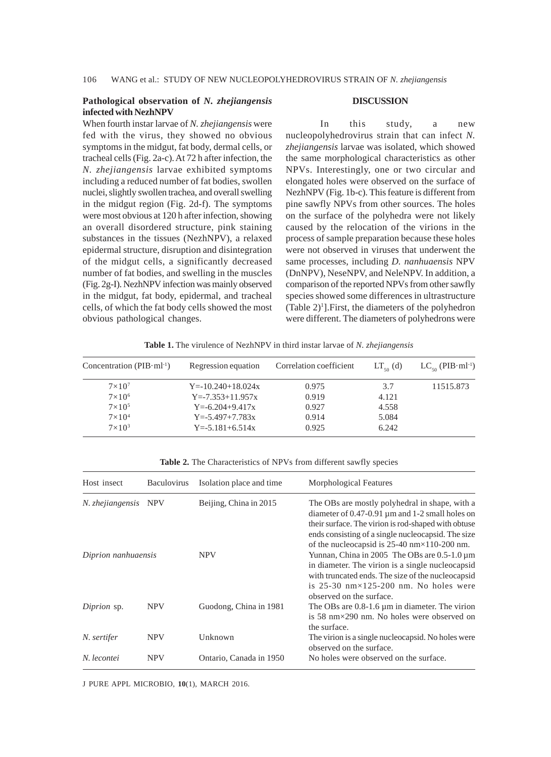# **Pathological observation of** *N. zhejiangensis* **infected with NezhNPV**

When fourth instar larvae of *N. zhejiangensis* were fed with the virus, they showed no obvious symptoms in the midgut, fat body, dermal cells, or tracheal cells (Fig. 2a-c). At 72 h after infection, the *N. zhejiangensis* larvae exhibited symptoms including a reduced number of fat bodies, swollen nuclei, slightly swollen trachea, and overall swelling in the midgut region (Fig. 2d-f). The symptoms were most obvious at 120 h after infection, showing an overall disordered structure, pink staining substances in the tissues (NezhNPV), a relaxed epidermal structure, disruption and disintegration of the midgut cells, a significantly decreased number of fat bodies, and swelling in the muscles (Fig. 2g-I). NezhNPV infection was mainly observed in the midgut, fat body, epidermal, and tracheal cells, of which the fat body cells showed the most obvious pathological changes.

#### **DISCUSSION**

In this study, a new nucleopolyhedrovirus strain that can infect *N. zhejiangensis* larvae was isolated, which showed the same morphological characteristics as other NPVs. Interestingly, one or two circular and elongated holes were observed on the surface of NezhNPV (Fig. 1b-c). This feature is different from pine sawfly NPVs from other sources. The holes on the surface of the polyhedra were not likely caused by the relocation of the virions in the process of sample preparation because these holes were not observed in viruses that underwent the same processes, including *D. nanhuaensis* NPV (DnNPV), NeseNPV, and NeleNPV. In addition, a comparison of the reported NPVs from other sawfly species showed some differences in ultrastructure  $(Table 2)^1$ ]. First, the diameters of the polyhedron were different. The diameters of polyhedrons were

**Table 1.** The virulence of NezhNPV in third instar larvae of *N. zhejiangensis*

| Concentration ( $PIB·ml^{-1}$ ) | Regression equation     | Correlation coefficient | $LT_{50}$ (d) | $LC_{\epsilon_0}$ (PIB $\cdot$ ml <sup>-1</sup> ) |
|---------------------------------|-------------------------|-------------------------|---------------|---------------------------------------------------|
| $7\times10^7$                   | $Y = -10.240 + 18.024x$ | 0.975                   | 3.7           | 11515.873                                         |
| $7\times10^6$                   | $Y = -7.353 + 11.957x$  | 0.919                   | 4.121         |                                                   |
| $7\times10^5$                   | $Y = -6.204 + 9.417x$   | 0.927                   | 4.558         |                                                   |
| $7\times10^4$                   | $Y = -5.497 + 7.783x$   | 0.914                   | 5.084         |                                                   |
| $7\times10^3$                   | $Y = -5.181 + 6.514x$   | 0.925                   | 6.242         |                                                   |

Table 2. The Characteristics of NPVs from different sawfly species

| Host insect          | <b>Baculovirus</b> | Isolation place and time | Morphological Features                                                                                                                                                                                                                                                   |
|----------------------|--------------------|--------------------------|--------------------------------------------------------------------------------------------------------------------------------------------------------------------------------------------------------------------------------------------------------------------------|
| N. zhejiangensis NPV |                    | Beijing, China in 2015   | The OBs are mostly polyhedral in shape, with a<br>diameter of 0.47-0.91 µm and 1-2 small holes on<br>their surface. The virion is rod-shaped with obtuse<br>ends consisting of a single nucleocapsid. The size<br>of the nucleocapsid is $25-40$ nm $\times$ 110-200 nm. |
| Diprion nanhuaensis  |                    | <b>NPV</b>               | Yunnan, China in 2005 The OBs are $0.5-1.0 \,\mathrm{\upmu m}$<br>in diameter. The virion is a single nucleocapsid<br>with truncated ends. The size of the nucleocapsid<br>is $25-30$ nm $\times$ 125-200 nm. No holes were<br>observed on the surface.                  |
| Diprion sp.          | <b>NPV</b>         | Guodong, China in 1981   | The OBs are $0.8-1.6 \mu m$ in diameter. The virion<br>is 58 nm $\times$ 290 nm. No holes were observed on<br>the surface.                                                                                                                                               |
| N. sertifer          | <b>NPV</b>         | Unknown                  | The virion is a single nucleocapsid. No holes were<br>observed on the surface.                                                                                                                                                                                           |
| N. lecontei          | <b>NPV</b>         | Ontario, Canada in 1950  | No holes were observed on the surface.                                                                                                                                                                                                                                   |

J PURE APPL MICROBIO*,* **10**(1), MARCH 2016.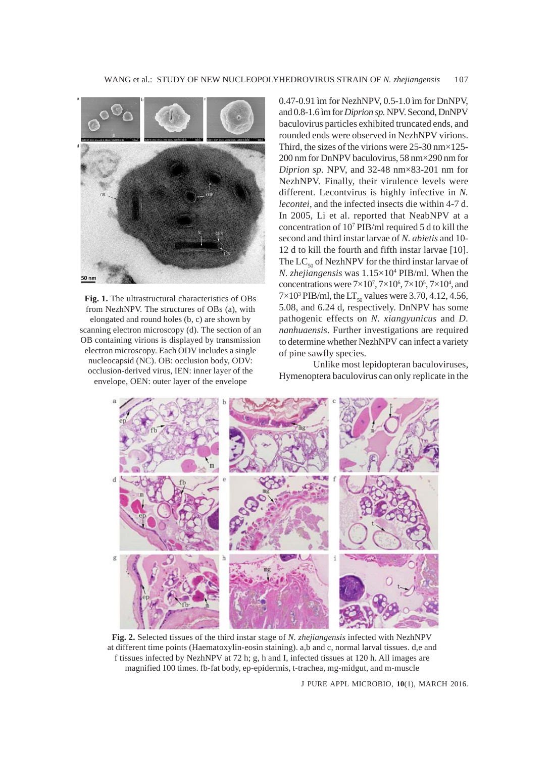

**Fig. 1.** The ultrastructural characteristics of OBs from NezhNPV. The structures of OBs (a), with elongated and round holes (b, c) are shown by scanning electron microscopy (d). The section of an OB containing virions is displayed by transmission electron microscopy. Each ODV includes a single nucleocapsid (NC). OB: occlusion body, ODV: occlusion-derived virus, IEN: inner layer of the envelope, OEN: outer layer of the envelope

0.47-0.91 ìm for NezhNPV, 0.5-1.0 ìm for DnNPV, and 0.8-1.6 ìm for *Diprion sp.* NPV. Second, DnNPV baculovirus particles exhibited truncated ends, and rounded ends were observed in NezhNPV virions. Third, the sizes of the virions were  $25-30$  nm $\times$ 125-200 nm for DnNPV baculovirus, 58 nm×290 nm for *Diprion sp.* NPV, and 32-48 nm×83-201 nm for NezhNPV. Finally, their virulence levels were different. Lecontvirus is highly infective in *N. lecontei*, and the infected insects die within 4-7 d. In 2005, Li et al. reported that NeabNPV at a concentration of 107 PIB/ml required 5 d to kill the second and third instar larvae of *N. abietis* and 10- 12 d to kill the fourth and fifth instar larvae [10]. The  $LC_{50}$  of NezhNPV for the third instar larvae of *N. zhejiangensis* was 1.15×104 PIB/ml. When the concentrations were  $7\times10^7$ ,  $7\times10^6$ ,  $7\times10^5$ ,  $7\times10^4$ , and  $7 \times 10^3$  PIB/ml, the LT<sub>50</sub> values were 3.70, 4.12, 4.56, 5.08, and 6.24 d, respectively. DnNPV has some pathogenic effects on *N. xiangyunicus* and *D. nanhuaensis*. Further investigations are required to determine whether NezhNPV can infect a variety of pine sawfly species.

Unlike most lepidopteran baculoviruses, Hymenoptera baculovirus can only replicate in the



**Fig. 2.** Selected tissues of the third instar stage of *N. zhejiangensis* infected with NezhNPV at different time points (Haematoxylin-eosin staining). a,b and c, normal larval tissues. d,e and f tissues infected by NezhNPV at 72 h; g, h and I, infected tissues at 120 h. All images are magnified 100 times. fb-fat body, ep-epidermis, t-trachea, mg-midgut, and m-muscle

J PURE APPL MICROBIO*,* **10**(1), MARCH 2016.